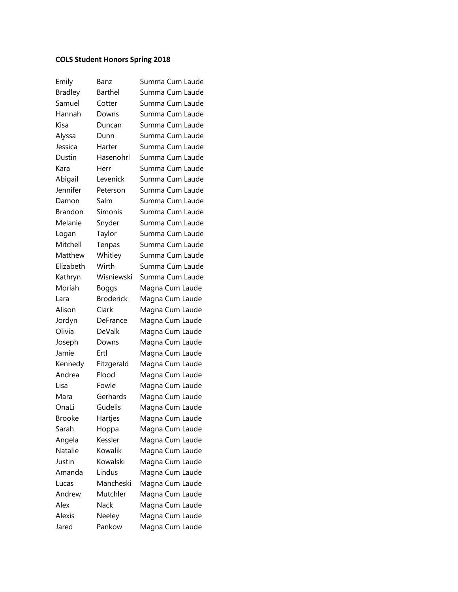## **COLS Student Honors Spring 2018**

| Emily          | Banz             | Summa Cum Laude |
|----------------|------------------|-----------------|
| <b>Bradley</b> | Barthel          | Summa Cum Laude |
| Samuel         | Cotter           | Summa Cum Laude |
| Hannah         | Downs            | Summa Cum Laude |
| Kisa           | Duncan           | Summa Cum Laude |
| Alyssa         | Dunn             | Summa Cum Laude |
| Jessica        | Harter           | Summa Cum Laude |
| Dustin         | Hasenohrl        | Summa Cum Laude |
| Kara           | Herr             | Summa Cum Laude |
| Abigail        | Levenick         | Summa Cum Laude |
| Jennifer       | Peterson         | Summa Cum Laude |
| Damon          | Salm             | Summa Cum Laude |
| <b>Brandon</b> | Simonis          | Summa Cum Laude |
| Melanie        | Snyder           | Summa Cum Laude |
| Logan          | Taylor           | Summa Cum Laude |
| Mitchell       | Tenpas           | Summa Cum Laude |
| Matthew        | Whitley          | Summa Cum Laude |
| Elizabeth      | Wirth            | Summa Cum Laude |
| Kathryn        | Wisniewski       | Summa Cum Laude |
| Moriah         | <b>Boggs</b>     | Magna Cum Laude |
| Lara           | <b>Broderick</b> | Magna Cum Laude |
| Alison         | Clark            | Magna Cum Laude |
| Jordyn         | DeFrance         | Magna Cum Laude |
| Olivia         | DeValk           | Magna Cum Laude |
| Joseph         | Downs            | Magna Cum Laude |
| Jamie          | Ertl             | Magna Cum Laude |
| Kennedy        | Fitzgerald       | Magna Cum Laude |
| Andrea         | Flood            | Magna Cum Laude |
| Lisa           | Fowle            | Magna Cum Laude |
| Mara           | Gerhards         | Magna Cum Laude |
| OnaLi          | Gudelis          | Magna Cum Laude |
| <b>Brooke</b>  | Hartjes          | Magna Cum Laude |
| Sarah          | Hoppa            | Magna Cum Laude |
| Angela         | Kessler          | Magna Cum Laude |
| <b>Natalie</b> | Kowalik          | Magna Cum Laude |
| Justin         | Kowalski         | Magna Cum Laude |
| Amanda         | Lindus           | Magna Cum Laude |
| Lucas          | Mancheski        | Magna Cum Laude |
| Andrew         | Mutchler         | Magna Cum Laude |
| Alex           | Nack             | Magna Cum Laude |
| Alexis         | Neeley           | Magna Cum Laude |
| Jared          | Pankow           | Magna Cum Laude |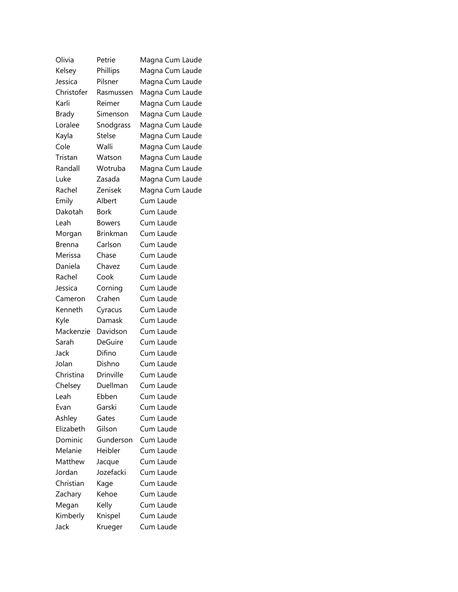| Olivia        | Petrie           | Magna Cum Laude |
|---------------|------------------|-----------------|
| Kelsey        | Phillips         | Magna Cum Laude |
| Jessica       | Pilsner          | Magna Cum Laude |
| Christofer    | Rasmussen        | Magna Cum Laude |
| Karli         | Reimer           | Magna Cum Laude |
| <b>Brady</b>  | Simenson         | Magna Cum Laude |
| Loralee       | Snodgrass        | Magna Cum Laude |
| Kayla         | <b>Stelse</b>    | Magna Cum Laude |
| Cole          | Walli            | Magna Cum Laude |
| Tristan       | Watson           | Magna Cum Laude |
| Randall       | Wotruba          | Magna Cum Laude |
| Luke          | Zasada           | Magna Cum Laude |
| Rachel        | Zenisek          | Magna Cum Laude |
| Emily         | Albert           | Cum Laude       |
| Dakotah       | <b>Bork</b>      | Cum Laude       |
| Leah          | <b>Bowers</b>    | Cum Laude       |
| Morgan        | <b>Brinkman</b>  | Cum Laude       |
| <b>Brenna</b> | Carlson          | Cum Laude       |
| Merissa       | Chase            | Cum Laude       |
| Daniela       | Chavez           | Cum Laude       |
| Rachel        | Cook             | Cum Laude       |
| Jessica       | Corning          | Cum Laude       |
| Cameron       | Crahen           | Cum Laude       |
| Kenneth       | Cyracus          | Cum Laude       |
| Kyle          | Damask           | Cum Laude       |
| Mackenzie     | Davidson         | Cum Laude       |
| Sarah         | DeGuire          | Cum Laude       |
| Jack          | Difino           | Cum Laude       |
| Jolan         | Dishno           | Cum Laude       |
| Christina     | <b>Drinville</b> | Cum Laude       |
| Chelsey       | Duellman         | Cum Laude       |
| Leah          | Ebben            | Cum Laude       |
| Evan          | Garski           | Cum Laude       |
| Ashley        | Gates            | Cum Laude       |
| Elizabeth     | Gilson           | Cum Laude       |
| Dominic       | Gunderson        | Cum Laude       |
| Melanie       | Heibler          | Cum Laude       |
| Matthew       | Jacque           | Cum Laude       |
| Jordan        | Jozefacki        | Cum Laude       |
| Christian     | Kage             | Cum Laude       |
| Zachary       | Kehoe            | Cum Laude       |
| Megan         | Kelly            | Cum Laude       |
| Kimberly      | Knispel          | Cum Laude       |
| Jack          | Krueger          | Cum Laude       |